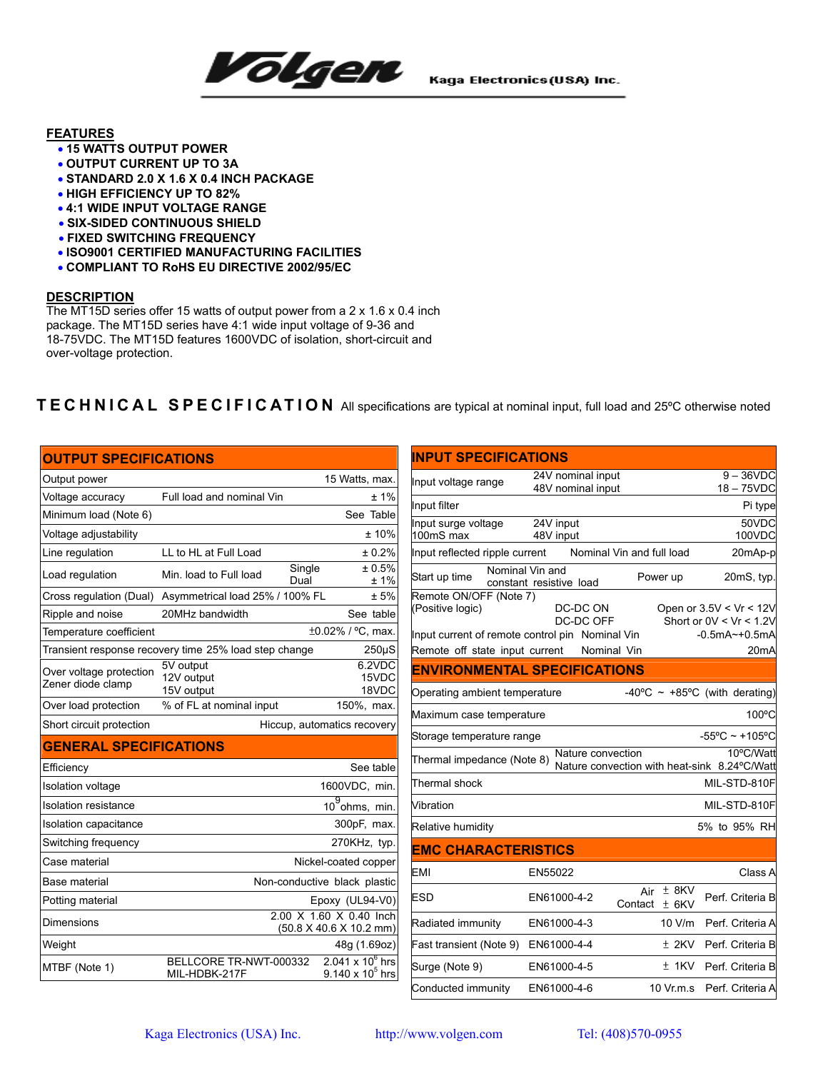

## **FEATURES**

- **15 WATTS OUTPUT POWER**
- **OUTPUT CURRENT UP TO 3A**
- **STANDARD 2.0 X 1.6 X 0.4 INCH PACKAGE**
- **HIGH EFFICIENCY UP TO 82%**
- **4:1 WIDE INPUT VOLTAGE RANGE**
- **SIX-SIDED CONTINUOUS SHIELD**
- **FIXED SWITCHING FREQUENCY**
- **ISO9001 CERTIFIED MANUFACTURING FACILITIES**
- **COMPLIANT TO RoHS EU DIRECTIVE 2002/95/EC**

## **DESCRIPTION**

The MT15D series offer 15 watts of output power from a 2 x 1.6 x 0.4 inch package. The MT15D series have 4:1 wide input voltage of 9-36 and 18-75VDC. The MT15D features 1600VDC of isolation, short-circuit and over-voltage protection.

## **TECHNICAL SPECIFICATION** All specifications are typical at nominal input, full load and 25ºC otherwise noted

| <b>OUTPUT SPECIFICATIONS</b>                 |                                                       |                                                        |
|----------------------------------------------|-------------------------------------------------------|--------------------------------------------------------|
| Output power                                 |                                                       | 15 Watts, max.                                         |
| Voltage accuracy                             | Full load and nominal Vin                             | ±1%                                                    |
| Minimum load (Note 6)                        |                                                       | See Table                                              |
| Voltage adjustability                        |                                                       | ±10%                                                   |
| Line regulation                              | LL to HL at Full Load                                 | ± 0.2%                                                 |
| Load regulation                              | Min. load to Full load                                | ± 0.5%<br>Single<br>Dual<br>±1%                        |
| Cross regulation (Dual)                      | Asymmetrical load 25% / 100% FL                       | ±5%                                                    |
| Ripple and noise                             | 20MHz bandwidth                                       | See table                                              |
| Temperature coefficient                      |                                                       | ±0.02% / °C, max.                                      |
|                                              | Transient response recovery time 25% load step change | $250\mu S$                                             |
| Over voltage protection<br>Zener diode clamp | 5V output<br>12V output<br>15V output                 | 6.2VDC<br>15VDC<br>18VDC                               |
| Over load protection                         | % of FL at nominal input                              | 150%, max.                                             |
| Short circuit protection                     |                                                       | Hiccup, automatics recovery                            |
| <b>GENERAL SPECIFICATIONS</b>                |                                                       |                                                        |
| Efficiency                                   |                                                       | See table                                              |
| <b>Isolation voltage</b>                     |                                                       | 1600VDC, min.                                          |
| <b>Isolation resistance</b>                  |                                                       | $10^9$ ohms, min.                                      |
| Isolation capacitance                        |                                                       | 300pF, max.                                            |
| Switching frequency                          |                                                       | 270KHz, typ.                                           |
| Case material                                |                                                       | Nickel-coated copper                                   |
| Base material                                |                                                       | Non-conductive black plastic                           |
| Potting material                             |                                                       | Epoxy (UL94-V0)                                        |
| Dimensions                                   |                                                       | 2.00 X 1.60 X 0.40 Inch<br>(50.8 X 40.6 X 10.2 mm)     |
| Weight                                       |                                                       | 48g (1.69oz)                                           |
| MTBF (Note 1)                                | BELLCORE TR-NWT-000332<br>MIL-HDBK-217F               | $2.041 \times 10^6$ hrs<br>9.140 x 10 <sup>5</sup> hrs |

| <b>INPUT SPECIFICATIONS</b>                                                                                                     |                                            |                                      |                                                                                    |  |
|---------------------------------------------------------------------------------------------------------------------------------|--------------------------------------------|--------------------------------------|------------------------------------------------------------------------------------|--|
| Input voltage range                                                                                                             | 24V nominal input<br>48V nominal input     |                                      | $9 - 36$ VDC<br>$18 - 75$ VDC                                                      |  |
| Input filter                                                                                                                    |                                            |                                      | Pi type                                                                            |  |
|                                                                                                                                 | 24V input                                  |                                      | 50VDC                                                                              |  |
| Input surge voltage<br>100mS max                                                                                                | 48V input                                  |                                      | 100VDC                                                                             |  |
| Input reflected ripple current                                                                                                  |                                            | Nominal Vin and full load            | 20mAp-p                                                                            |  |
| Start up time                                                                                                                   | Nominal Vin and<br>constant resistive load | Power up                             | 20mS, typ.                                                                         |  |
| Remote ON/OFF (Note 7)<br>(Positive logic)<br>Input current of remote control pin Nominal Vin<br>Remote off state input current | DC-DC ON<br>DC-DC OFF                      | Nominal Vin                          | Open or 3.5V < Vr < 12V<br>Short or $0V < Vr < 1.2V$<br>$-0.5mA$ $-+0.5mA$<br>20mA |  |
| <b>ENVIRONMENTAL SPECIFICATIONS</b>                                                                                             |                                            |                                      |                                                                                    |  |
| Operating ambient temperature                                                                                                   |                                            |                                      | -40°C ~ +85°C (with derating)                                                      |  |
| Maximum case temperature                                                                                                        |                                            |                                      | 100°C                                                                              |  |
| Storage temperature range                                                                                                       |                                            |                                      | $-55^{\circ}$ C ~ +105°C                                                           |  |
| 10°C/Watt<br>Nature convection<br>Thermal impedance (Note 8)<br>Nature convection with heat-sink 8.24°C/Watt                    |                                            |                                      |                                                                                    |  |
| Thermal shock                                                                                                                   |                                            |                                      | MIL-STD-810F                                                                       |  |
| Vibration                                                                                                                       |                                            |                                      | MIL-STD-810F                                                                       |  |
| Relative humidity                                                                                                               |                                            |                                      | 5% to 95% RH                                                                       |  |
| <b>EMC CHARACTERISTICS</b>                                                                                                      |                                            |                                      |                                                                                    |  |
| EMI                                                                                                                             | EN55022                                    |                                      | Class A                                                                            |  |
| <b>ESD</b>                                                                                                                      | EN61000-4-2                                | $±$ 8KV<br>Air<br>Contact<br>$±$ 6KV | Perf. Criteria B                                                                   |  |
| Radiated immunity                                                                                                               | EN61000-4-3                                | 10 V/m                               | Perf. Criteria A                                                                   |  |
| Fast transient (Note 9)                                                                                                         | EN61000-4-4                                | $±$ 2KV                              | Perf. Criteria B                                                                   |  |
| Surge (Note 9)                                                                                                                  | EN61000-4-5                                | ± 1KV                                | Perf. Criteria B                                                                   |  |
| Conducted immunity                                                                                                              | EN61000-4-6                                | 10 Vr.m.s                            | Perf. Criteria A                                                                   |  |